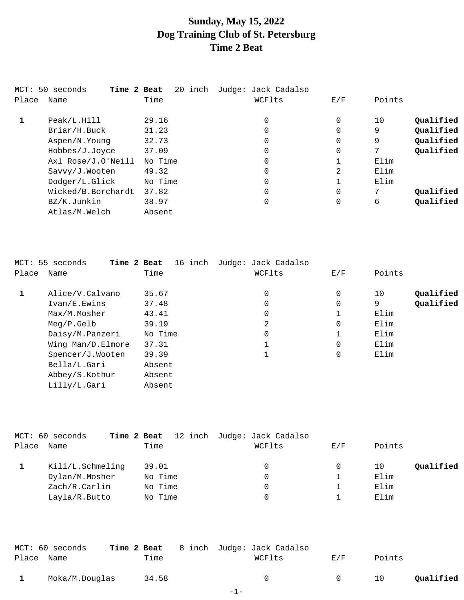# **Sunday, May 15, 2022 Dog Training Club of St. Petersburg Time 2 Beat**

|       | MCT: 50 seconds<br>Time 2 Beat | 20 inch | Judge: Jack Cadalso |          |        |           |
|-------|--------------------------------|---------|---------------------|----------|--------|-----------|
| Place | Name                           | Time    | WCFlts              | E/F      | Points |           |
| 1     | Peak/L.Hill                    | 29.16   | $\overline{0}$      | $\Omega$ | 10     | Qualified |
|       | Briar/H.Buck                   | 31.23   | 0                   | 0        | 9      | Qualified |
|       | Aspen/N.Young                  | 32.73   | 0                   | 0        | 9      | Qualified |
|       | Hobbes/J.Joyce                 | 37.09   | $\mathbf 0$         | 0        | 7      | Qualified |
|       | Axl Rose/J.O'Neill             | No Time | $\overline{0}$      |          | Elim   |           |
|       | Savvy/J.Wooten                 | 49.32   | $\overline{0}$      | 2        | Elim   |           |
|       | Dodger/L.Glick                 | No Time | $\overline{0}$      |          | Elim   |           |
|       | Wicked/B.Borchardt             | 37.82   | $\overline{0}$      | 0        |        | Qualified |
|       | BZ/K.Junkin                    | 38.97   | $\mathbf 0$         | 0        | 6      | Qualified |
|       | Atlas/M.Welch                  | Absent  |                     |          |        |           |
|       |                                |         |                     |          |        |           |

|              | MCT: 55 seconds<br>Time 2 Beat | 16 inch | Judge: Jack Cadalso |     |                 |
|--------------|--------------------------------|---------|---------------------|-----|-----------------|
| Place        | Name                           | Time    | WCFlts              | E/F | Points          |
| $\mathbf{1}$ | Alice/V.Calvano                | 35.67   | 0                   | 0   | Oualified<br>10 |
|              | Ivan/E.Ewins                   | 37.48   | 0                   | 0   | Qualified<br>9  |
|              | Max/M.Mosher                   | 43.41   | 0                   |     | Elim            |
|              | $Meq/P$ . Gelb                 | 39.19   | 2                   | 0   | Elim            |
|              | Daisy/M.Panzeri                | No Time | 0                   |     | Elim            |
|              | Wing Man/D.Elmore              | 37.31   |                     | 0   | Elim            |
|              | Spencer/J.Wooten               | 39.39   |                     | 0   | Elim            |
|              | Bella/L.Gari                   | Absent  |                     |     |                 |
|              | Abbey/S.Kothur                 | Absent  |                     |     |                 |
|              | Lilly/L.Gari                   | Absent  |                     |     |                 |
|              |                                |         |                     |     |                 |

|       | MCT: 60 seconds<br>Time 2 Beat |         | 12 inch Judge: Jack Cadalso |     |        |           |
|-------|--------------------------------|---------|-----------------------------|-----|--------|-----------|
| Place | Name                           | Time    | WCFlts                      | E/F | Points |           |
|       | Kili/L.Schmeling               | 39.01   | 0                           |     | 10     | Qualified |
|       | Dylan/M.Mosher                 | No Time | 0                           |     | Elim   |           |
|       | Zach/R.Carlin                  | No Time | 0                           |     | Elim   |           |
|       | Layla/R.Butto                  | No Time | $\Omega$                    |     | Elim   |           |
|       |                                |         |                             |     |        |           |

|            | MCT: 60 seconds |       | <b>Time 2 Beat</b> 8 inch Judge: Jack Cadalso |        |        |           |
|------------|-----------------|-------|-----------------------------------------------|--------|--------|-----------|
| Place Name |                 | Time  | WCFlts                                        | E/F    | Points |           |
|            | Moka/M.Douglas  | 34.58 | $\cap$                                        | $\cap$ | 10     | Qualified |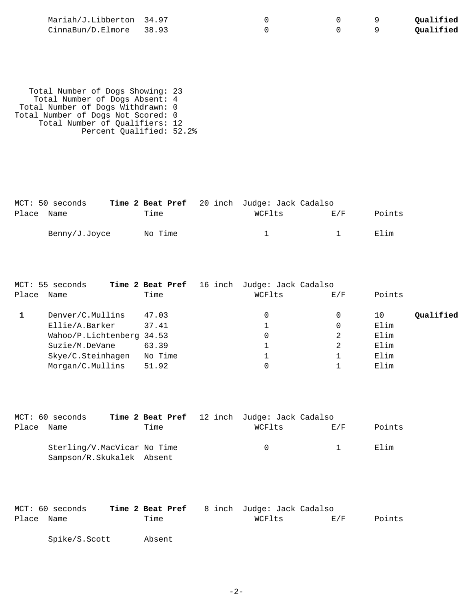| Mariah/J.Libberton 34.97 |  |  | Qualified |
|--------------------------|--|--|-----------|
| CinnaBun/D.Elmore 38.93  |  |  | Oualified |

 Total Number of Dogs Showing: 23 Total Number of Dogs Absent: 4 Total Number of Dogs Withdrawn: 0 Total Number of Dogs Not Scored: 0 Total Number of Qualifiers: 12 Percent Qualified: 52.2%

|            | MCT: 50 seconds |         | <b>Time 2 Beat Pref</b> 20 inch Judge: Jack Cadalso |        |        |
|------------|-----------------|---------|-----------------------------------------------------|--------|--------|
| Place Name |                 | Time    | WCFlts                                              | F. / F | Points |
|            | Benny/J.Joyce   | No Time | and the contract of                                 |        | Elim   |

|       | MCT: 55 seconds           |         | <b>Time 2 Beat Pref</b> 16 inch Judge: Jack Cadalso |     |                 |
|-------|---------------------------|---------|-----------------------------------------------------|-----|-----------------|
| Place | Name                      | Time    | WCFlts                                              | E/F | Points          |
|       | Denver/C.Mullins          | 47.03   |                                                     | 0   | Qualified<br>10 |
|       | Ellie/A.Barker            | 37.41   |                                                     | 0   | Elim            |
|       | Wahoo/P.Lichtenberg 34.53 |         |                                                     | 2   | Elim            |
|       | Suzie/M.DeVane            | 63.39   |                                                     | 2   | Elim            |
|       | Skye/C.Steinhagen         | No Time |                                                     |     | Elim            |
|       | Morgan/C.Mullins          | 51.92   |                                                     |     | Elim            |
|       |                           |         |                                                     |     |                 |

| MCT: 60 seconds             |      | <b>Time 2 Beat Pref</b> 12 inch Judge: Jack Cadalso |                |        |
|-----------------------------|------|-----------------------------------------------------|----------------|--------|
| Place Name                  | Time | WCFlts                                              | F. / F         | Points |
| Sterling/V.MacVicar No Time |      | $\cap$                                              | $\overline{1}$ | Elim   |
| Sampson/R.Skukalek Absent   |      |                                                     |                |        |

|            | MCT: 60 seconds | Time 2 Beat Pref 8 inch Judge: Jack Cadalso |        |             |        |
|------------|-----------------|---------------------------------------------|--------|-------------|--------|
| Place Name |                 | Time                                        | WCFlts | <b>E</b> /F | Points |
|            |                 |                                             |        |             |        |

Spike/S.Scott Absent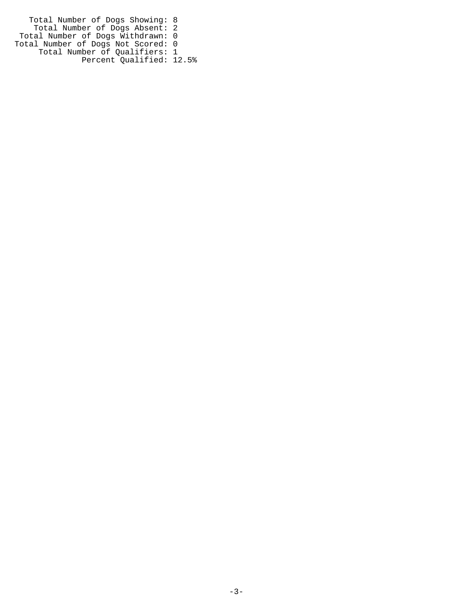Total Number of Dogs Showing: 8 Total Number of Dogs Absent: 2 Total Number of Dogs Withdrawn: 0 Total Number of Dogs Not Scored: 0 Total Number of Qualifiers: 1 Percent Qualified: 12.5%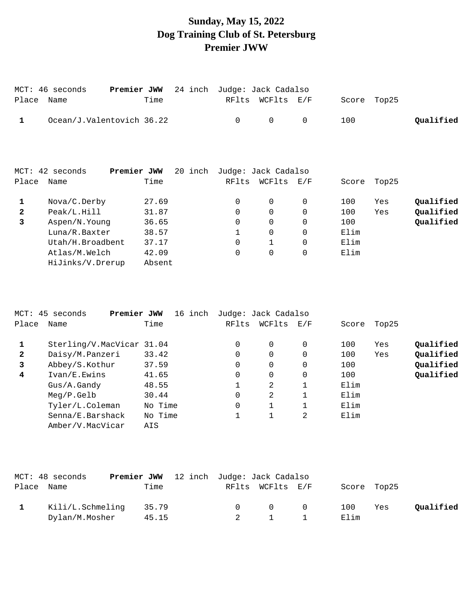# **Sunday, May 15, 2022 Dog Training Club of St. Petersburg Premier JWW**

| Place        | Premier JWW<br>MCT: 46 seconds<br>Name | Time   | 24 inch | RFlts       | Judge: Jack Cadalso<br>WCFlts | E/F            | Score | Top25 |           |
|--------------|----------------------------------------|--------|---------|-------------|-------------------------------|----------------|-------|-------|-----------|
| 1            | Ocean/J.Valentovich 36.22              |        |         | $\mathbf 0$ | 0                             | 0              | 100   |       | Qualified |
|              |                                        |        |         |             |                               |                |       |       |           |
|              |                                        |        |         |             |                               |                |       |       |           |
|              | $MCT: 42$ seconds<br>Premier JWW       |        | 20 inch |             | Judge: Jack Cadalso           |                |       |       |           |
| Place        | Name                                   | Time   |         | RFlts       | WCFlts                        | E/F            | Score | Top25 |           |
| 1            | Nova/C.Derby                           | 27.69  |         | $\Omega$    | 0                             | $\Omega$       | 100   | Yes   | Qualified |
| $\mathbf{2}$ | Peak/L.Hill                            | 31.87  |         | $\Omega$    | 0                             | 0              | 100   | Yes   | Qualified |
| 3            | Aspen/N.Young                          | 36.65  |         | 0           | 0                             | $\overline{0}$ | 100   |       | Qualified |
|              | Luna/R.Baxter                          | 38.57  |         | 1           | $\Omega$                      | 0              | Elim  |       |           |
|              | Utah/H.Broadbent                       | 37.17  |         | 0           |                               | $\mathbf 0$    | Elim  |       |           |
|              | Atlas/M.Welch                          | 42.09  |         | $\mathbf 0$ | 0                             | $\mathbf 0$    | Elim  |       |           |
|              | HiJinks/V.Drerup                       | Absent |         |             |                               |                |       |       |           |

|              | Premier JWW<br>MCT: 45 seconds | 16 inch | Judge: Jack Cadalso |          |     |       |       |           |
|--------------|--------------------------------|---------|---------------------|----------|-----|-------|-------|-----------|
| Place        | Name                           | Time    | RFlts               | WCFlts   | E/F | Score | Top25 |           |
| $\mathbf{1}$ | Sterling/V.MacVicar 31.04      |         | 0                   | $\Omega$ |     | 100   | Yes   | Qualified |
| $\mathbf{2}$ | Daisy/M.Panzeri                | 33.42   | 0                   | 0        |     | 100   | Yes   | Qualified |
| 3            | Abbey/S.Kothur                 | 37.59   | 0                   | 0        | 0   | 100   |       | Qualified |
| 4            | Ivan/E.Ewins                   | 41.65   | 0                   | 0        | 0   | 100   |       | Qualified |
|              | Gus/A.Gandy                    | 48.55   |                     | 2        |     | Elim  |       |           |
|              | Meg/P.Gelb                     | 30.44   | 0                   | 2        |     | Elim  |       |           |
|              | Tyler/L.Coleman                | No Time | 0                   |          |     | Elim  |       |           |
|              | Senna/E.Barshack               | No Time |                     |          | 2   | Elim  |       |           |
|              | Amber/V.MacVicar               | AIS     |                     |          |     |       |       |           |

|            | MCT: 48 seconds  | <b>Premier JWW</b> 12 inch Judge: Jack Cadalso |  |                                         |             |     |           |
|------------|------------------|------------------------------------------------|--|-----------------------------------------|-------------|-----|-----------|
| Place Name |                  | Time                                           |  | RFlts WCFlts E/F                        | Score Top25 |     |           |
|            | Kili/L.Schmeling | 35.79                                          |  | $\begin{matrix} 0 & 0 & 0 \end{matrix}$ | 100         | Yes | Qualified |
|            | Dylan/M.Mosher   | 45.15                                          |  | $1 \quad 1$                             | Elim        |     |           |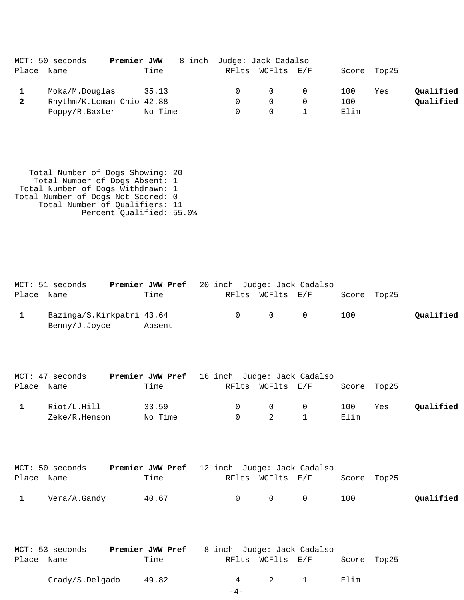|              | MCT: 50 seconds<br>Premier JWW |         | 8 inch Judge: Jack Cadalso |                  |            |             |     |           |
|--------------|--------------------------------|---------|----------------------------|------------------|------------|-------------|-----|-----------|
| Place Name   |                                | Time    |                            | RFlts WCFlts E/F |            | Score Top25 |     |           |
|              | Moka/M.Douglas                 | 35.13   |                            | $\overline{0}$   | $\bigcirc$ | 100         | Yes | Qualified |
| $\mathbf{2}$ | Rhythm/K.Loman Chio 42.88      |         |                            |                  |            | 100         |     | Qualified |
|              | Poppy/R.Baxter                 | No Time |                            |                  |            | Elim        |     |           |

 Total Number of Dogs Showing: 20 Total Number of Dogs Absent: 1 Total Number of Dogs Withdrawn: 1 Total Number of Dogs Not Scored: 0 Total Number of Qualifiers: 11 Percent Qualified: 55.0%

| MCT: 51 seconds           | <b>Premier JWW Pref</b> 20 inch Judge: Jack Cadalso |        |                                 |     |             |           |
|---------------------------|-----------------------------------------------------|--------|---------------------------------|-----|-------------|-----------|
| Place Name                | Time                                                |        | RFlts WCFlts E/F                |     | Score Top25 |           |
| Bazinga/S.Kirkpatri 43.64 |                                                     | $\cap$ | $\begin{matrix}0&0\end{matrix}$ | 100 |             | Qualified |
| Benny/J.Joyce             | Absent                                              |        |                                 |     |             |           |

|            | MCT: 47 seconds | <b>Premier JWW Pref</b> 16 inch Judge: Jack Cadalso |                   |                  |                   |             |     |           |
|------------|-----------------|-----------------------------------------------------|-------------------|------------------|-------------------|-------------|-----|-----------|
| Place Name |                 | Time                                                |                   | RFlts WCFlts E/F |                   | Score Top25 |     |           |
|            | Riot/L.Hill     | 33.59                                               | $\cap$ and $\cap$ |                  | $\Omega$ $\Omega$ | 100         | Yes | Oualified |
|            | Zeke/R.Henson   | No Time                                             | $\cap$            | $\sim$ 2         |                   | Elim        |     |           |

|              | MCT: 50 seconds | <b>Premier JWW Pref</b> 12 inch Judge: Jack Cadalso |                                         |                              |     |           |
|--------------|-----------------|-----------------------------------------------------|-----------------------------------------|------------------------------|-----|-----------|
| Place Name   |                 | Time                                                |                                         | RFlts WCFlts E/F Score Top25 |     |           |
| $\mathbf{1}$ | Vera/A.Gandy    | 40.67                                               | $\begin{matrix} 0 & 0 & 0 \end{matrix}$ |                              | 100 | Qualified |

|            | MCT: 53 seconds | <b>Premier JWW Pref</b> 8 inch Judge: Jack Cadalso |          |                  |             |  |
|------------|-----------------|----------------------------------------------------|----------|------------------|-------------|--|
| Place Name |                 | Time                                               |          | RFlts WCFlts E/F | Score Top25 |  |
|            | Grady/S.Delgado | 49.82                                              | $\sim$ 4 | 2 1              | Elim        |  |
|            |                 |                                                    | $-4-$    |                  |             |  |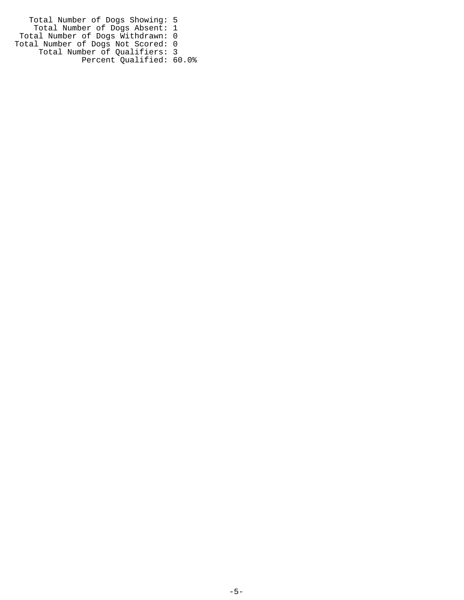Total Number of Dogs Showing: 5 Total Number of Dogs Absent: 1 Total Number of Dogs Withdrawn: 0 Total Number of Dogs Not Scored: 0 Total Number of Qualifiers: 3 Percent Qualified: 60.0%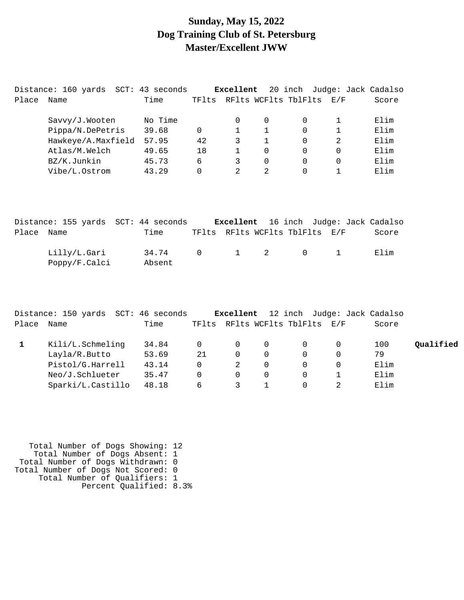### **Sunday, May 15, 2022 Dog Training Club of St. Petersburg Master/Excellent JWW**

| Name               | Time    | TFlts                               |   |   |           | E/F                  | Score                       |
|--------------------|---------|-------------------------------------|---|---|-----------|----------------------|-----------------------------|
| Savvy/J.Wooten     | No Time |                                     | 0 | 0 | 0         |                      | Elim                        |
| Pippa/N.DePetris   | 39.68   | 0                                   |   |   | 0         |                      | Elim                        |
| Hawkeye/A.Maxfield | 57.95   | 42                                  | 3 |   | 0         | $\mathcal{L}$        | Elim                        |
| Atlas/M.Welch      | 49.65   | 18                                  |   | 0 | $\Omega$  | 0                    | Elim                        |
| BZ/K.Junkin        | 45.73   | 6                                   | 3 | 0 | O         | 0                    | Elim                        |
| Vibe/L.Ostrom      | 43.29   | 0                                   | 2 | 2 | O         |                      | Elim                        |
|                    |         | Distance: 160 yards SCT: 43 seconds |   |   | Excellent | RFlts WCFlts TblFlts | 20 inch Judge: Jack Cadalso |

|            | Distance: 155 yards SCT: 44 seconds |                           |  |  |                                | Excellent 16 inch Judge: Jack Cadalso |
|------------|-------------------------------------|---------------------------|--|--|--------------------------------|---------------------------------------|
| Place Name |                                     | Time                      |  |  | TFlts RFlts WCFlts TblFlts E/F | Score                                 |
|            | Lilly/L.Gari<br>Poppy/F.Calci       | 34.74 0 1 2 0 1<br>Absent |  |  |                                | Flim                                  |

|       | Distance: 150 yards SCT: 46 seconds |       |       | Excellent |          |                          | 12 inch Judge: Jack Cadalso |           |
|-------|-------------------------------------|-------|-------|-----------|----------|--------------------------|-----------------------------|-----------|
| Place | Name                                | Time  | TFlts |           |          | RFlts WCFlts TblFlts E/F | Score                       |           |
|       | Kili/L.Schmeling                    | 34.84 | 0     | $\Omega$  | 0        | $\Omega$                 | 100                         | Oualified |
|       | Layla/R.Butto                       | 53.69 | 21    | $\Omega$  | 0        | $\Omega$                 | 79                          |           |
|       | Pistol/G.Harrell                    | 43.14 | 0     | 2         | $\Omega$ | $\Omega$                 | Elim                        |           |
|       | Neo/J.Schlueter                     | 35.47 | 0     | $\Omega$  | $\Omega$ | $\Omega$                 | Elim                        |           |
|       | Sparki/L.Castillo                   | 48.18 | 6     | 3         |          | $\Omega$                 | Elim                        |           |

 Total Number of Dogs Showing: 12 Total Number of Dogs Absent: 1 Total Number of Dogs Withdrawn: 0 Total Number of Dogs Not Scored: 0 Total Number of Qualifiers: 1 Percent Qualified: 8.3%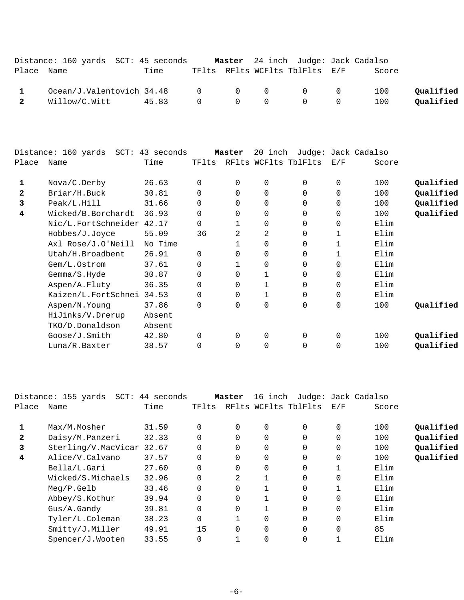|            | Distance: 160 yards SCT: 45 seconds             |      |  | Master 24 inch Judge: Jack Cadalso              |       |           |
|------------|-------------------------------------------------|------|--|-------------------------------------------------|-------|-----------|
| Place Name |                                                 | Time |  | TFlts RFlts WCFlts TblFlts E/F                  | Score |           |
|            | $Ocean/J.Valentovich$ 34.48 $0$ $0$ $0$ $0$ $0$ |      |  |                                                 | 100   | Oualified |
|            | 2 Willow/C.Witt 45.83                           |      |  | $\begin{matrix} 0 & 0 & 0 & 0 & 0 \end{matrix}$ | 100   | Qualified |

|       | Distance: 160 yards<br>SCT: | 43 seconds |          | Master   | 20 inch        |                      | Judge: Jack Cadalso |       |           |
|-------|-----------------------------|------------|----------|----------|----------------|----------------------|---------------------|-------|-----------|
| Place | Name                        | Time       | TFlts    |          |                | RFlts WCFlts TblFlts | E/F                 | Score |           |
| 1     | Nova/C.Derby                | 26.63      | $\Omega$ | $\Omega$ | $\mathbf 0$    | $\Omega$             | $\mathbf 0$         | 100   | Qualified |
| 2     | Briar/H.Buck                | 30.81      | $\Omega$ | 0        | $\mathbf 0$    | $\Omega$             | $\Omega$            | 100   | Qualified |
| 3     | Peak/L.Hill                 | 31.66      | $\Omega$ | 0        | $\mathbf 0$    | $\Omega$             | 0                   | 100   | Qualified |
| 4     | Wicked/B.Borchardt          | 36.93      | 0        | $\Omega$ | $\mathbf 0$    | 0                    | $\mathbf 0$         | 100   | Qualified |
|       | Nic/L.FortSchneider 42.17   |            | 0        |          | $\mathbf 0$    | $\Omega$             | 0                   | Elim  |           |
|       | Hobbes/J.Joyce              | 55.09      | 36       | 2        | 2              | 0                    | 1                   | Elim  |           |
|       | Axl Rose/J.O'Neill          | No Time    |          |          | $\mathbf 0$    | 0                    | 1                   | Elim  |           |
|       | Utah/H.Broadbent            | 26.91      | $\Omega$ | $\Omega$ | $\Omega$       | $\Omega$             | $\mathbf{1}$        | Elim  |           |
|       | Gem/L.Ostrom                | 37.61      | $\Omega$ |          | $\mathbf 0$    | $\Omega$             | $\Omega$            | Elim  |           |
|       | Gemma/S.Hyde                | 30.87      | 0        | 0        |                | 0                    | 0                   | Elim  |           |
|       | Aspen/A.Fluty               | 36.35      | $\Omega$ | $\Omega$ |                | $\Omega$             | $\Omega$            | Elim  |           |
|       | Kaizen/L.FortSchnei         | 34.53      | 0        | 0        |                | $\Omega$             | 0                   | Elim  |           |
|       | Aspen/N.Young               | 37.86      | 0        | 0        | $\mathbf 0$    | 0                    | 0                   | 100   | Qualified |
|       | HiJinks/V.Drerup            | Absent     |          |          |                |                      |                     |       |           |
|       | TKO/D.Donaldson             | Absent     |          |          |                |                      |                     |       |           |
|       | Goose/J.Smith               | 42.80      | 0        | $\Omega$ | $\mathbf 0$    | $\Omega$             | $\mathbf 0$         | 100   | Qualified |
|       | Luna/R.Baxter               | 38.57      | $\Omega$ | 0        | $\overline{0}$ | $\Omega$             | $\Omega$            | 100   | Qualified |
|       |                             |            |          |          |                |                      |                     |       |           |

|              | Distance: 155 yards       | SCT: 44 seconds |          | Master   | 16 inch              |          | Judge: Jack Cadalso |       |           |
|--------------|---------------------------|-----------------|----------|----------|----------------------|----------|---------------------|-------|-----------|
| Place        | Name                      | Time            | TFlts    |          | RFlts WCFlts TblFlts |          | E/F                 | Score |           |
| 1            | Max/M.Mosher              | 31.59           | $\Omega$ | $\Omega$ | 0                    | $\Omega$ | $\mathbf 0$         | 100   | Qualified |
| $\mathbf{z}$ | Daisy/M.Panzeri           | 32.33           | $\Omega$ | $\Omega$ | 0                    | $\Omega$ | $\mathbf 0$         | 100   | Qualified |
| 3            | Sterling/V.MacVicar 32.67 |                 | $\Omega$ | $\Omega$ | 0                    | $\Omega$ | 0                   | 100   | Qualified |
| 4            | Alice/V.Calvano           | 37.57           | $\Omega$ | $\Omega$ | 0                    | $\Omega$ | $\mathbf 0$         | 100   | Qualified |
|              | Bella/L.Gari              | 27.60           | 0        | $\Omega$ | 0                    | 0        |                     | Elim  |           |
|              | Wicked/S.Michaels         | 32.96           | $\Omega$ | 2        |                      | $\Omega$ | $\Omega$            | Elim  |           |
|              | Meq/P.Gelb                | 33.46           | $\Omega$ | $\Omega$ |                      | $\Omega$ |                     | Elim  |           |
|              | Abbey/S.Kothur            | 39.94           | $\Omega$ | $\Omega$ |                      | $\Omega$ | 0                   | Elim  |           |
|              | Gus/A.Gandy               | 39.81           | $\Omega$ | $\Omega$ |                      | $\Omega$ | $\Omega$            | Elim  |           |
|              | Tyler/L.Coleman           | 38.23           |          |          | 0                    | $\Omega$ | $\mathbf 0$         | Elim  |           |
|              | Smitty/J.Miller           | 49.91           | 15       | $\Omega$ | 0                    | $\Omega$ | $\Omega$            | 85    |           |
|              | Spencer/J.Wooten          | 33.55           |          |          | 0                    | 0        |                     | Elim  |           |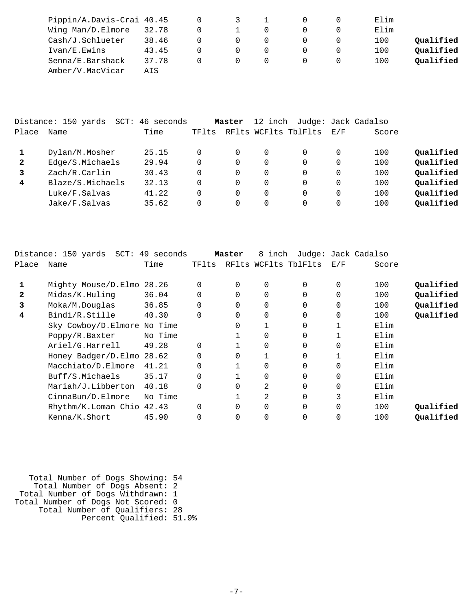| Pippin/A.Davis-Crai 40.45 |       |  |  | Elim |           |
|---------------------------|-------|--|--|------|-----------|
| Wing Man/D.Elmore         | 32.78 |  |  | Elim |           |
| Cash/J.Schlueter          | 38.46 |  |  | 100  | Qualified |
| Ivan/E.Ewins              | 43.45 |  |  | 100  | Oualified |
| Senna/E.Barshack          | 37.78 |  |  | 100  | Oualified |
| Amber/V.MacVicar          | AIS   |  |  |      |           |

|              | Distance: 150 yards<br>SCT: | 46 seconds |       | Master | 12 inch  |                      |          | Judge: Jack Cadalso |           |
|--------------|-----------------------------|------------|-------|--------|----------|----------------------|----------|---------------------|-----------|
| Place        | Name                        | Time       | TFlts |        |          | RFlts WCFlts TblFlts | E/F      | Score               |           |
|              | Dylan/M.Mosher              | 25.15      |       |        | 0        |                      | 0        | 100                 | Qualified |
| $\mathbf{2}$ | Edge/S.Michaels             | 29.94      |       |        | 0        |                      | $\Omega$ | 100                 | Qualified |
|              | Zach/R.Carlin               | 30.43      |       |        | 0        |                      | 0        | 100                 | Qualified |
| 4            | Blaze/S.Michaels            | 32.13      |       |        | $\Omega$ |                      | $\Omega$ | 100                 | Qualified |
|              | Luke/F.Salvas               | 41.22      |       |        | $\Omega$ |                      | $\Omega$ | 100                 | Qualified |
|              | Jake/F.Salvas               | 35.62      |       |        | 0        |                      | $\Omega$ | 100                 | Qualified |

|              | Distance: 150 yards  SCT: 49 seconds |         |             | Master   | 8 inch   |                      |          | Judge: Jack Cadalso |           |
|--------------|--------------------------------------|---------|-------------|----------|----------|----------------------|----------|---------------------|-----------|
| Place        | Name                                 | Time    | TFlts       |          |          | RFlts WCFlts TblFlts | E/F      | Score               |           |
|              | Mighty Mouse/D.Elmo 28.26            |         | $\Omega$    | $\Omega$ | $\Omega$ | $\Omega$             | $\Omega$ | 100                 | Qualified |
| $\mathbf{2}$ | Midas/K.Huling                       | 36.04   | $\mathbf 0$ | $\Omega$ | $\Omega$ | $\Omega$             | 0        | 100                 | Qualified |
| 3            | Moka/M.Douglas                       | 36.85   | $\mathbf 0$ | $\Omega$ | $\Omega$ | 0                    | $\Omega$ | 100                 | Qualified |
| 4            | Bindi/R.Stille                       | 40.30   | $\Omega$    | $\Omega$ | $\Omega$ | 0                    | 0        | 100                 | Qualified |
|              | Sky Cowboy/D.Elmore No Time          |         |             | 0        |          | 0                    |          | Elim                |           |
|              | Poppy/R.Baxter                       | No Time |             |          | $\Omega$ | 0                    |          | Elim                |           |
|              | Ariel/G.Harrell                      | 49.28   | $\Omega$    |          | $\Omega$ | $\Omega$             | $\Omega$ | Elim                |           |
|              | Honey Badger/D.Elmo 28.62            |         | $\mathbf 0$ | 0        |          | 0                    |          | Elim                |           |
|              | Macchiato/D.Elmore                   | 41.21   | $\Omega$    |          | $\Omega$ | $\Omega$             | $\Omega$ | Elim                |           |
|              | Buff/S.Michaels                      | 35.17   | $\Omega$    |          | $\Omega$ | $\Omega$             | 0        | Elim                |           |
|              | Mariah/J.Libberton                   | 40.18   | $\Omega$    | $\Omega$ | 2        | $\Omega$             | 0        | Elim                |           |
|              | CinnaBun/D.Elmore                    | No Time |             |          | 2        | 0                    | 3        | Elim                |           |
|              | Rhythm/K.Loman Chio 42.43            |         | $\Omega$    | $\Omega$ | $\Omega$ | $\Omega$             | 0        | 100                 | Qualified |
|              | Kenna/K.Short                        | 45.90   | $\Omega$    | 0        | 0        | 0                    | $\Omega$ | 100                 | Oualified |
|              |                                      |         |             |          |          |                      |          |                     |           |

| Total Number of Dogs Showing: 54   |  |
|------------------------------------|--|
| Total Number of Dogs Absent: 2     |  |
| Total Number of Dogs Withdrawn: 1  |  |
| Total Number of Dogs Not Scored: 0 |  |
| Total Number of Qualifiers: 28     |  |
| Percent Qualified: 51.9%           |  |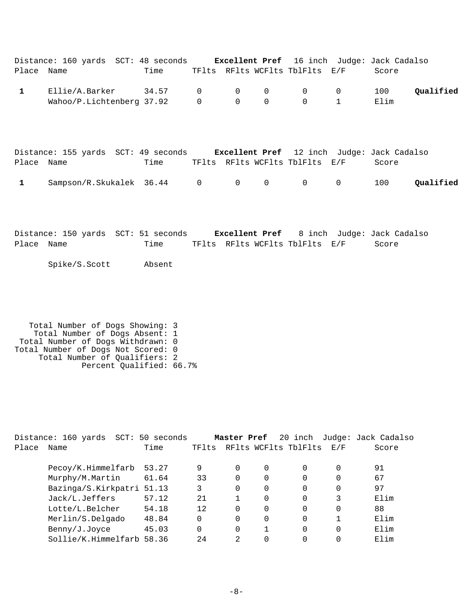|            | Distance: 160 yards SCT: 48 seconds                |      |  |                                              | <b>Excellent Pref</b> 16 inch Judge: Jack Cadalso |           |
|------------|----------------------------------------------------|------|--|----------------------------------------------|---------------------------------------------------|-----------|
| Place Name |                                                    | Time |  | TFlts RFlts WCFlts TblFlts E/F               | Score                                             |           |
|            | Ellie/A.Barker    34.57    0    0    0     0     0 |      |  |                                              | 100                                               | Oualified |
|            | Wahoo/P.Lichtenberg 37.92 0 0 0                    |      |  | $\begin{array}{ccc} & & 0 & & 1 \end{array}$ | Elim                                              |           |

|            | Distance: 155 yards SCT: 49 seconds  |      |  |                                | <b>Excellent Pref</b> 12 inch Judge: Jack Cadalso |           |
|------------|--------------------------------------|------|--|--------------------------------|---------------------------------------------------|-----------|
| Place Name |                                      | Time |  | TFlts RFlts WCFlts TblFlts E/F | Score                                             |           |
|            | Sampson/R.Skukalek 36.44 0 0 0 0 0 0 |      |  |                                | 100                                               | Qualified |

|            | Distance: 150 yards SCT: 51 seconds |                                | <b>Excellent Pref</b> 8 inch Judge: Jack Cadalso |       |
|------------|-------------------------------------|--------------------------------|--------------------------------------------------|-------|
| Place Name | Time                                | TFlts RFlts WCFlts TblFlts E/F |                                                  | Score |

Spike/S.Scott Absent

```
 Total Number of Dogs Showing: 3
 Total Number of Dogs Absent: 1
 Total Number of Dogs Withdrawn: 0
Total Number of Dogs Not Scored: 0
 Total Number of Qualifiers: 2
 Percent Qualified: 66.7%
```

|       | Distance: 160 yards SCT: 50 seconds |       |       | Master Pref   |          | 20 inch              |     | Judge: Jack Cadalso |
|-------|-------------------------------------|-------|-------|---------------|----------|----------------------|-----|---------------------|
| Place | Name                                | Time  | TFlts |               |          | RFlts WCFlts TblFlts | E/F | Score               |
|       | Pecoy/K.Himmelfarb                  | 53.27 | 9     | 0             | 0        | 0                    |     | 91                  |
|       | Murphy/M.Martin                     | 61.64 | 33    | 0             | $\Omega$ | 0                    | 0   | 67                  |
|       | Bazinga/S.Kirkpatri                 | 51.13 | 3     | 0             | $\Omega$ | 0                    |     | 97                  |
|       | Jack/L.Jeffers                      | 57.12 | 21    |               | O        | $\Omega$             | 3   | Elim                |
|       | Lotte/L.Belcher                     | 54.18 | 12    | $\Omega$      | 0        | 0                    |     | 88                  |
|       | Merlin/S.Delgado                    | 48.84 | 0     | 0             | $\Omega$ | $\Omega$             |     | Elim                |
|       | Benny/J.Joyce                       | 45.03 | 0     | 0             |          | 0                    | 0   | Elim                |
|       | Sollie/K.Himmelfarb                 | 58.36 | 24    | $\mathcal{L}$ |          |                      |     | Elim                |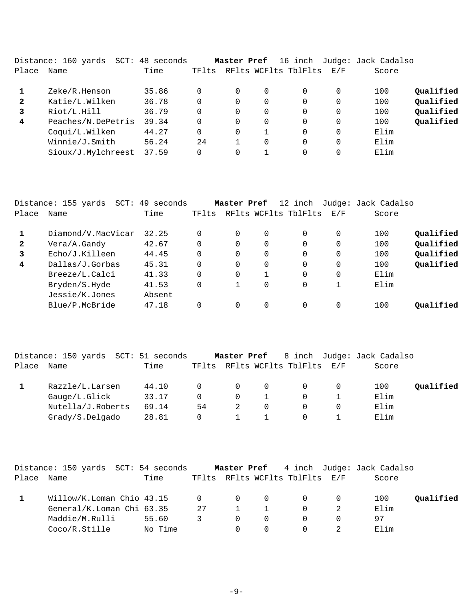|                | Distance: 160 yards<br>SCT: | 48 seconds |       | Master Pref |          | 16 inch              |          | Judge: Jack Cadalso |           |
|----------------|-----------------------------|------------|-------|-------------|----------|----------------------|----------|---------------------|-----------|
| Place          | Name                        | Time       | TFlts |             |          | RFlts WCFlts TblFlts | E/F      | Score               |           |
|                | Zeke/R.Henson               | 35.86      |       | $\Omega$    | 0        | 0                    | $\Omega$ | 100                 | Qualified |
| $\mathbf{2}$   | Katie/L.Wilken              | 36.78      |       | $\Omega$    | 0        | 0                    | $\Omega$ | 100                 | Qualified |
| 3              | Riot/L.Hill                 | 36.79      |       | 0           | $\Omega$ | $\Omega$             | $\Omega$ | 100                 | Qualified |
| $\overline{4}$ | Peaches/N.DePetris          | 39.34      |       | $\Omega$    | 0        | $\Omega$             | 0        | 100                 | Qualified |
|                | Coqui/L.Wilken              | 44.27      |       | $\Omega$    |          | $\Omega$             | $\Omega$ | Elim                |           |
|                | Winnie/J.Smith              | 56.24      | 24    |             | $\Omega$ | $\Omega$             | $\Omega$ | Elim                |           |
|                | Sioux/J.Mylchreest          | 37.59      |       | 0           |          | $\Omega$             | $\Omega$ | Elim                |           |
|                |                             |            |       |             |          |                      |          |                     |           |

|       | Distance: 155 yards<br>$SCT$ : | 49<br>seconds |          | Master Pref |          | 12 inch              |     | Judge: Jack Cadalso |           |
|-------|--------------------------------|---------------|----------|-------------|----------|----------------------|-----|---------------------|-----------|
| Place | Name                           | Time          | TFlts    |             |          | RFlts WCFlts TblFlts | E/F | Score               |           |
|       | Diamond/V.MacVicar             | 32.25         | 0        | 0           | $\Omega$ | $\Omega$             | 0   | 100                 | Qualified |
| 2     | Vera/A.Gandy                   | 42.67         | 0        | 0           | $\Omega$ | $\Omega$             | 0   | 100                 | Qualified |
| 3     | Echo/J.Killeen                 | 44.45         | 0        | 0           | $\Omega$ | $\Omega$             | 0   | 100                 | Qualified |
| 4     | Dallas/J.Gorbas                | 45.31         | $\Omega$ | 0           | $\Omega$ | $\Omega$             | 0   | 100                 | Qualified |
|       | Breeze/L.Calci                 | 41.33         | 0        | 0           |          | $\Omega$             | 0   | Elim                |           |
|       | Bryden/S.Hyde                  | 41.53         | 0        |             | $\Omega$ | $\Omega$             |     | Elim                |           |
|       | Jessie/K.Jones                 | Absent        |          |             |          |                      |     |                     |           |
|       | Blue/P.McBride                 | 47.18         |          | 0           | $\Omega$ | $\Omega$             |     | 100                 | Oualified |

|       | Distance: 150 yards SCT: 51 seconds |       |          | Master Pref |          |                          | 8 inch Judge: Jack Cadalso |           |
|-------|-------------------------------------|-------|----------|-------------|----------|--------------------------|----------------------------|-----------|
| Place | Name                                | Time  | TFlts    |             |          | RFlts WCFlts TblFlts E/F | Score                      |           |
|       | Razzle/L.Larsen                     | 44.10 | $\cap$   | $\Omega$    | $\Omega$ | $\Omega$                 | 100                        | Oualified |
|       | Gauge/L.Glick                       | 33.17 | $\Omega$ | $\Omega$    |          |                          | Elim                       |           |
|       | Nutella/J.Roberts                   | 69.14 | 54       |             | $\Omega$ |                          | Elim                       |           |
|       | Grady/S.Delgado                     | 28.81 |          |             |          |                          | Elim                       |           |

|       | Distance: 150 yards SCT: 54 seconds |         |                |          |                                     |                                | <b>Master Pref</b> 4 inch Judge: Jack Cadalso |           |
|-------|-------------------------------------|---------|----------------|----------|-------------------------------------|--------------------------------|-----------------------------------------------|-----------|
| Place | Name                                | Time    |                |          |                                     | TFlts RFlts WCFlts TblFlts E/F | Score                                         |           |
|       | Willow/K.Loman Chio 43.15           |         | $\overline{0}$ |          | $\begin{matrix} 0 & 0 \end{matrix}$ | $\overline{0}$                 | 100                                           | Oualified |
|       | General/K.Loman Chi 63.35           |         | 27             |          | $\overline{1}$                      | $\Omega$                       | Elim                                          |           |
|       | Maddie/M.Rulli                      | 55.60   | 3              | $\Omega$ | $\Omega$                            | $\Omega$                       | 97                                            |           |
|       | Coco/R.Stille                       | No Time |                |          |                                     |                                | Flim                                          |           |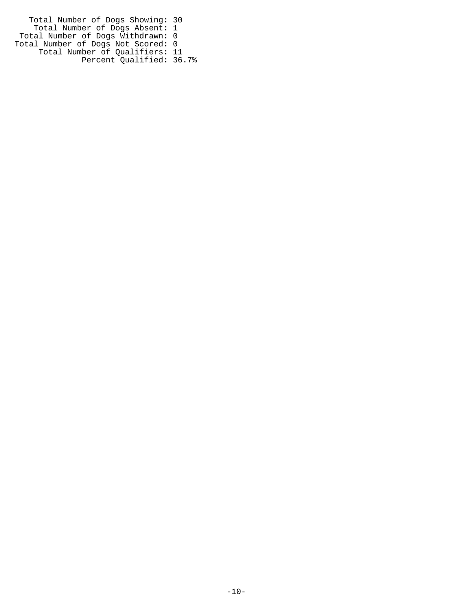Total Number of Dogs Showing: 30 Total Number of Dogs Absent: 1 Total Number of Dogs Withdrawn: 0 Total Number of Dogs Not Scored: 0 Total Number of Qualifiers: 11 Percent Qualified: 36.7%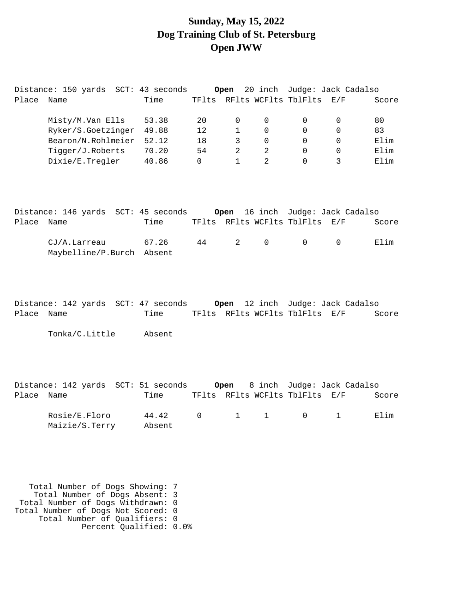## **Sunday, May 15, 2022 Dog Training Club of St. Petersburg Open JWW**

|       | Distance: 150 yards SCT: 43 seconds         |                 |              | Open           |                     | 20 inch Judge: Jack Cadalso                               |                     |       |
|-------|---------------------------------------------|-----------------|--------------|----------------|---------------------|-----------------------------------------------------------|---------------------|-------|
| Place | Name                                        | Time            |              |                |                     | TFlts RFlts WCFlts TblFlts                                | E/F                 | Score |
|       | Misty/M.Van Ells                            | 53.38           | 20           | 0              | 0                   | 0                                                         | 0                   | 80    |
|       | Ryker/S.Goetzinger                          | 49.88           | 12           | $\mathbf{1}$   | $\Omega$            | $\Omega$                                                  | $\Omega$            | 83    |
|       | Bearon/N.Rohlmeier                          | 52.12           | 18           | 3              | $\mathbf 0$         | $\Omega$                                                  | 0                   | Elim  |
|       | Tigger/J.Roberts                            | 70.20           | 54           | 2              | 2                   | $\Omega$                                                  | 0                   | Elim  |
|       | Dixie/E.Tregler                             | 40.86           | $\mathsf{O}$ | $\mathbf{1}$   | $\overline{a}$      | $\Omega$                                                  | $\overline{3}$      | Elim  |
|       | Distance: 146 yards SCT: 45 seconds         |                 |              | Open           |                     | 16 inch Judge: Jack Cadalso                               |                     |       |
| Place | Name                                        | Time            |              |                |                     | TFlts RFlts WCFlts TblFlts                                | E/F                 | Score |
|       | CJ/A.Larreau<br>Maybelline/P.Burch Absent   | 67.26           | 44           | $\overline{a}$ | $\mathsf{O}\xspace$ | $\mathsf{O}\xspace$                                       | $\mathsf{O}\xspace$ | Elim  |
| Place | Distance: 142 yards SCT: 47 seconds<br>Name | Time            |              | Open           |                     | 12 inch Judge: Jack Cadalso<br>TFlts RFlts WCFlts TblFlts | E/F                 | Score |
|       | Tonka/C.Little                              | Absent          |              |                |                     |                                                           |                     |       |
| Place | Distance: 142 yards SCT: 51 seconds<br>Name | Time            |              | Open           |                     | 8 inch Judge: Jack Cadalso<br>TFlts RFlts WCFlts TblFlts  | E/F                 | Score |
|       | Rosie/E.Floro<br>Maizie/S.Terry             | 44.42<br>Absent | $\mathsf 0$  | $\mathbf{1}$   | $\mathbf 1$         | 0                                                         | 1                   | Elim  |
|       |                                             |                 |              |                |                     |                                                           |                     |       |

 Total Number of Dogs Showing: 7 Total Number of Dogs Absent: 3 Total Number of Dogs Withdrawn: 0 Total Number of Dogs Not Scored: 0 Total Number of Qualifiers: 0 Percent Qualified: 0.0%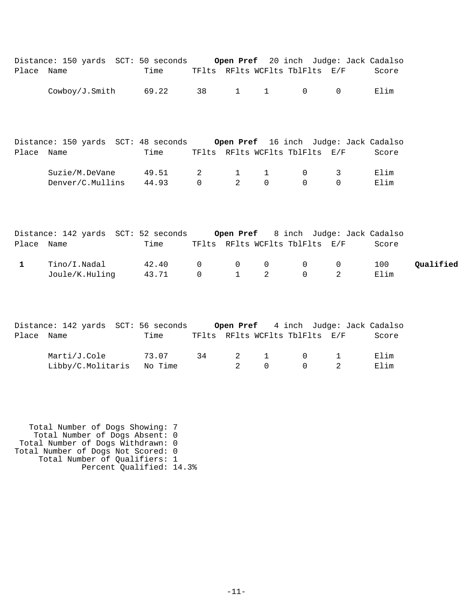| Place Name   | Distance: 150 yards SCT: 50 seconds Open Pref 20 inch Judge: Jack Cadalso | Time |                   |                   |                             | TFlts RFlts WCFlts TblFlts E/F |                         | Score        |           |
|--------------|---------------------------------------------------------------------------|------|-------------------|-------------------|-----------------------------|--------------------------------|-------------------------|--------------|-----------|
|              | $\text{Cowboy}/\text{J.Smith}$ 69.22 38 1 1                               |      |                   |                   |                             | $0 \qquad \qquad$              | $\Omega$                | Elim         |           |
|              | Distance: 150 yards SCT: 48 seconds Open Pref 16 inch Judge: Jack Cadalso |      |                   |                   |                             |                                |                         |              |           |
| Place Name   |                                                                           | Time |                   |                   |                             | TFlts RFlts WCFlts TblFlts E/F |                         | Score        |           |
|              | Suzie/M.DeVane 49.51<br>Denver/C.Mullins 44.93                            |      | 2<br>$\mathbf{0}$ | $\mathbf{1}$<br>2 | $\mathbf{1}$<br>$\mathbf 0$ | $\overline{0}$<br>$\Omega$     | $3^{\circ}$<br>$\Omega$ | Elim<br>Elim |           |
|              | Distance: 142 yards SCT: 52 seconds Open Pref 8 inch Judge: Jack Cadalso  |      |                   |                   |                             |                                |                         |              |           |
| Place Name   |                                                                           | Time |                   |                   |                             | TFlts RFlts WCFlts TblFlts E/F |                         | Score        |           |
| $\mathbf{1}$ | $Tino/I.Nadal$ 42.40                                                      |      | $\mathsf{O}$      | $\mathsf{O}$      | $\mathsf{O}$                | $\overline{0}$                 | $0 \qquad \qquad$       | 100          | Qualified |
|              | Joule/K.Huling 43.71                                                      |      | $\mathbf 0$       | $\mathbf{1}$      | 2                           | $\overline{0}$                 | 2                       | Elim         |           |
|              |                                                                           |      |                   |                   |                             |                                |                         |              |           |
|              |                                                                           |      |                   |                   |                             |                                |                         |              |           |
|              |                                                                           |      |                   |                   |                             |                                |                         |              |           |

|            | Distance: 142 yards  SCT: 56 seconds <b>Open Pref</b> 4 inch  Judqe: Jack Cadalso |       |    |              |                                        |       |
|------------|-----------------------------------------------------------------------------------|-------|----|--------------|----------------------------------------|-------|
| Place Name |                                                                                   | Time  |    |              | TFlts RFlts WCFlts TblFlts E/F         | Score |
|            | Marti/J.Cole                                                                      | 73.07 | 34 | 2 1 0 1      |                                        | Elim  |
|            | Libby/C.Molitaris No Time                                                         |       |    | $2 \qquad 0$ | $\begin{array}{ccc} 0 & 2 \end{array}$ | Elim  |

 Total Number of Dogs Showing: 7 Total Number of Dogs Absent: 0 Total Number of Dogs Withdrawn: 0 Total Number of Dogs Not Scored: 0 Total Number of Qualifiers: 1 Percent Qualified: 14.3%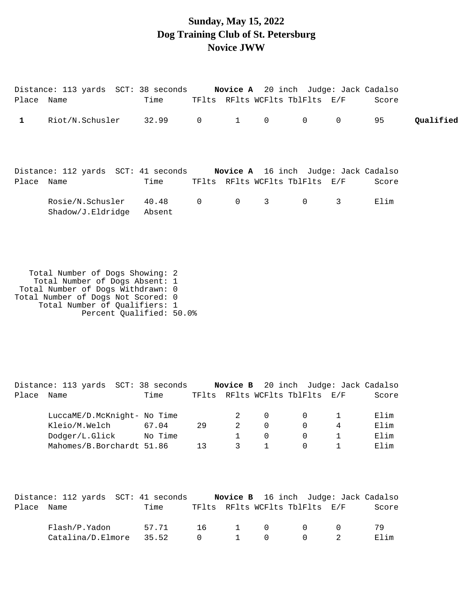## **Sunday, May 15, 2022 Dog Training Club of St. Petersburg Novice JWW**

|              | Distance: 113 yards SCT: 38 seconds <b>Novice A</b> 20 inch Judge: Jack Cadalso                                                                                                                                                                               |       |                   |                                |                |                |                |       |           |
|--------------|---------------------------------------------------------------------------------------------------------------------------------------------------------------------------------------------------------------------------------------------------------------|-------|-------------------|--------------------------------|----------------|----------------|----------------|-------|-----------|
| Place Name   |                                                                                                                                                                                                                                                               | Time  |                   | TFlts RFlts WCFlts TblFlts E/F |                |                |                | Score |           |
| $\mathbf{1}$ | Riot/N.Schusler                                                                                                                                                                                                                                               | 32.99 | $0 \qquad \qquad$ | $1 \quad \blacksquare$         | $\overline{0}$ | $\overline{0}$ | $\overline{0}$ | 95    | Qualified |
| Place Name   | Distance: 112 yards SCT: 41 seconds Novice A 16 inch Judge: Jack Cadalso                                                                                                                                                                                      | Time  |                   | TFlts RFlts WCFlts TblFlts E/F |                |                |                | Score |           |
|              | Rosie/N.Schusler 40.48<br>Shadow/J.Eldridge Absent                                                                                                                                                                                                            |       | $\overline{0}$    | $\overline{0}$                 | 3 <sup>7</sup> | $\overline{0}$ | $\overline{3}$ | Elim  |           |
|              | Total Number of Dogs Showing: 2<br>Total Number of Dogs Absent: 1<br>$\overline{a}$ , $\overline{a}$ , $\overline{a}$ , $\overline{a}$ , $\overline{a}$ , $\overline{a}$ , $\overline{a}$ , $\overline{a}$ , $\overline{a}$ , $\overline{a}$ , $\overline{a}$ |       |                   |                                |                |                |                |       |           |

 Total Number of Dogs Withdrawn: 0 Total Number of Dogs Not Scored: 0 Total Number of Qualifiers: 1 Percent Qualified: 50.0%

|       | Distance: 113 yards SCT: 38 seconds |         |    |          | Novice B 20 inch Judge: Jack Cadalso |       |
|-------|-------------------------------------|---------|----|----------|--------------------------------------|-------|
| Place | Name                                | Time    |    |          | TFlts RFlts WCFlts TblFlts E/F       | Score |
|       | LuccaME/D.McKnight- No Time         |         |    |          |                                      | Elim  |
|       | Kleio/M.Welch                       | 67.04   | 29 | $\Omega$ |                                      | Elim  |
|       | Dodger/L.Glick                      | No Time |    | $\Omega$ |                                      | Elim  |
|       | Mahomes/B.Borchardt 51.86           |         | 13 |          |                                      | Elim  |
|       |                                     |         |    |          |                                      |       |

|            | Distance: 112 yards SCT: 41 seconds |       |                       |                        |          | <b>Novice B</b> 16 inch Judge: Jack Cadalso |       |
|------------|-------------------------------------|-------|-----------------------|------------------------|----------|---------------------------------------------|-------|
| Place Name |                                     | Time  |                       |                        |          | TFlts RFlts WCFlts TblFlts E/F              | Score |
|            | Flash/P.Yadon                       | 57.71 |                       |                        |          | 16 1 0 0 0                                  | 79    |
|            | Catalina/D.Elmore                   | 35.52 | $\Omega$ and $\Omega$ | $\sim$ 1 $\sim$ $\sim$ | $\Omega$ | $\begin{array}{ccc} 0 & 2 \end{array}$      | Elim  |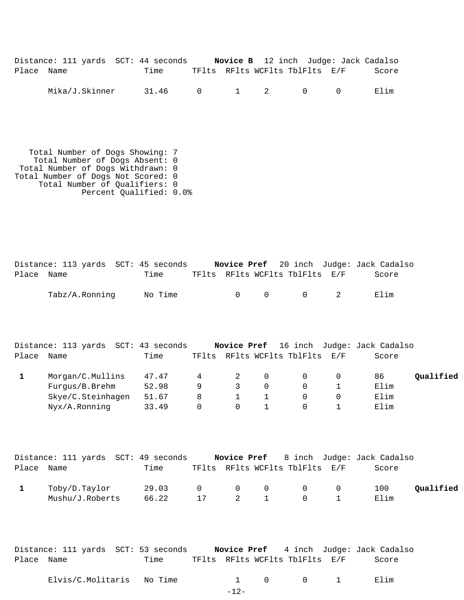|            | Distance: 111 yards SCT: 44 seconds |       |  | <b>Novice B</b> 12 inch Judge: Jack Cadalso |       |
|------------|-------------------------------------|-------|--|---------------------------------------------|-------|
| Place Name |                                     | Time  |  | TFlts RFlts WCFlts TblFlts E/F              | Score |
|            | Mika/J.Skinner                      | 31.46 |  | 0 1 2 0 0                                   | Elim  |

 Total Number of Dogs Showing: 7 Total Number of Dogs Absent: 0 Total Number of Dogs Withdrawn: 0 Total Number of Dogs Not Scored: 0 Total Number of Qualifiers: 0 Percent Qualified: 0.0%

| Place Name | Distance: 113 yards SCT: 45 seconds                                         | Time           |        | Novice Pref             |               | TFlts RFlts WCFlts TblFlts E/F |                   | 20 inch Judge: Jack Cadalso<br>Score |           |
|------------|-----------------------------------------------------------------------------|----------------|--------|-------------------------|---------------|--------------------------------|-------------------|--------------------------------------|-----------|
|            | Tabz/A.Ronning                                                              | No Time        |        | $\mathbf 0$             | 0             | $\mathbf 0$                    | 2                 | Elim                                 |           |
|            | Distance: 113 yards SCT: 43 seconds Novice Pref 16 inch Judge: Jack Cadalso |                |        |                         |               |                                |                   |                                      |           |
| Place Name |                                                                             | Time           |        |                         |               | TFlts RFlts WCFlts TblFlts E/F |                   | Score                                |           |
| 1          | Morgan/C.Mullins<br>Furgus/B.Brehm                                          | 47.47<br>52.98 | 4<br>9 | 2<br>3                  | 0<br>$\Omega$ | 0<br>$\Omega$                  | 0<br>$\mathbf{1}$ | 86<br>Elim                           | Qualified |
|            | Skye/C.Steinhagen<br>Nyx/A.Ronning                                          | 51.67<br>33.49 | 8<br>0 | $\mathbf 1$<br>$\Omega$ | 1<br>1        | 0<br>$\Omega$                  | 0<br>1            | Elim<br>Elim                         |           |
|            |                                                                             |                |        |                         |               |                                |                   |                                      |           |
|            | Distance: 111 yards SCT: 49 seconds Novice Pref                             |                |        |                         |               |                                |                   | 8 inch Judge: Jack Cadalso           |           |
| Place      | Name                                                                        | Time           |        |                         |               | TFlts RFlts WCFlts TblFlts     | E/F               | Score                                |           |
| 1          | Toby/D.Taylor                                                               | 29.03          | 0      | 0                       | 0             | 0                              | $\mathbf 0$       | 100                                  | Qualified |
|            | Mushu/J.Roberts                                                             | 66.22          | 17     | 2                       | $\mathbf 1$   | $\Omega$                       | $\mathbf{1}$      | Elim                                 |           |
|            |                                                                             |                |        |                         |               |                                |                   |                                      |           |

|            | Distance: 111 yards SCT: 53 seconds |      | Novice Pref |                                | 4 inch Judge: Jack Cadalso |
|------------|-------------------------------------|------|-------------|--------------------------------|----------------------------|
| Place Name |                                     | Time |             | TFlts RFlts WCFlts TblFlts E/F | Score                      |

| Elvis/C.Molitaris | No Time |  |  |  |
|-------------------|---------|--|--|--|
|-------------------|---------|--|--|--|

-12-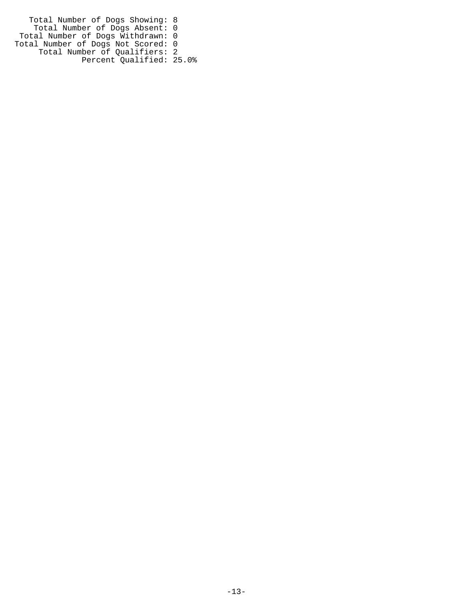Total Number of Dogs Showing: 8 Total Number of Dogs Absent: 0 Total Number of Dogs Withdrawn: 0 Total Number of Dogs Not Scored: 0 Total Number of Qualifiers: 2 Percent Qualified: 25.0%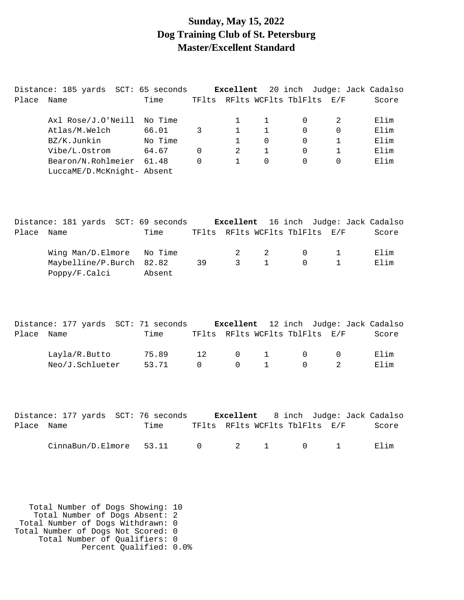#### **Sunday, May 15, 2022 Dog Training Club of St. Petersburg Master/Excellent Standard**

|       | Distance: 185 yards SCT: 65 seconds |         |       | Excellent   |          |                          |   | 20 inch Judge: Jack Cadalso |
|-------|-------------------------------------|---------|-------|-------------|----------|--------------------------|---|-----------------------------|
| Place | Name                                | Time    | TFlts |             |          | RFlts WCFlts TblFlts E/F |   | Score                       |
|       | Axl Rose/J.O'Neill                  | No Time |       |             |          | $\Omega$                 | 2 | Elim                        |
|       | Atlas/M.Welch                       | 66.01   | 3     |             |          | $\Omega$                 | 0 | Elim                        |
|       | BZ/K.Junkin                         | No Time |       |             | 0        | $\Omega$                 |   | Elim                        |
|       | Vibe/L.Ostrom                       | 64.67   | 0     | $2^{\circ}$ |          | $\Omega$                 |   | Elim                        |
|       | Bearon/N.Rohlmeier                  | 61.48   | 0     |             | $\Omega$ | $\Omega$                 | 0 | Elim                        |
|       | LuccaME/D.McKnight- Absent          |         |       |             |          |                          |   |                             |

|            | Distance: 181 yards SCT: 69 seconds |        |    |                |           | <b>Excellent</b> 16 inch Judge: Jack Cadalso |       |
|------------|-------------------------------------|--------|----|----------------|-----------|----------------------------------------------|-------|
| Place Name |                                     | Time   |    |                |           | TFlts RFlts WCFlts TblFlts E/F               | Score |
|            | Wing Man/D.Elmore No Time           |        |    | $\overline{2}$ | $\bigcap$ |                                              | Elim  |
|            | Maybelline/P.Burch 82.82            |        | 39 | 3 1            |           |                                              | Elim  |
|            | Poppy/F.Calci                       | Absent |    |                |           |                                              |       |

|       | Distance: 177 yards SCT: 71 seconds |       |        |           |                                 | Excellent 12 inch Judge: Jack Cadalso |       |
|-------|-------------------------------------|-------|--------|-----------|---------------------------------|---------------------------------------|-------|
| Place | Name                                | Time  |        |           |                                 | TFlts RFlts WCFlts TblFlts E/F        | Score |
|       | Layla/R.Butto                       | 75.89 | 12     |           | $\begin{matrix}0&1\end{matrix}$ |                                       | Elim  |
|       | Neo/J.Schlueter                     | 53.71 | $\cap$ | $\bigcap$ |                                 |                                       | Elim  |

|            | Distance: 177 yards SCT: 76 seconds |      |  |  |                                | <b>Excellent</b> 8 inch Judge: Jack Cadalso |
|------------|-------------------------------------|------|--|--|--------------------------------|---------------------------------------------|
| Place Name |                                     | Time |  |  | TFlts RFlts WCFlts TblFlts E/F | Score                                       |
|            | $CinnaBun/D.Elmore$ 53.11 0 2 1 0 1 |      |  |  |                                | Elim                                        |

 Total Number of Dogs Showing: 10 Total Number of Dogs Absent: 2 Total Number of Dogs Withdrawn: 0 Total Number of Dogs Not Scored: 0 Total Number of Qualifiers: 0 Percent Qualified: 0.0%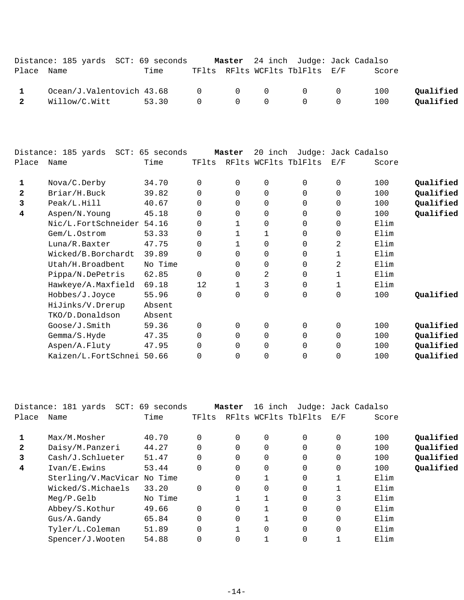|            | Distance: 185 yards SCT: 69 seconds          |       |  | Master 24 inch Judge: Jack Cadalso                              |            |                        |
|------------|----------------------------------------------|-------|--|-----------------------------------------------------------------|------------|------------------------|
| Place Name |                                              | Time  |  | TFlts RFlts WCFlts TblFlts E/F                                  | Score      |                        |
|            | Ocean/J.Valentovich 43.68<br>2 Willow/C.Witt | 53.30 |  | $0\qquad \qquad 0\qquad \qquad 0\qquad \qquad 0\qquad \qquad 0$ | 100<br>100 | Oualified<br>Oualified |

|              | Distance: 185 yards       | SCT: 65 seconds |          | Master   | 20 inch        |                      | Judge: Jack Cadalso |       |           |
|--------------|---------------------------|-----------------|----------|----------|----------------|----------------------|---------------------|-------|-----------|
| Place        | Name                      | Time            | TFlts    |          |                | RFlts WCFlts TblFlts | E/F                 | Score |           |
| 1            | Nova/C.Derby              | 34.70           | $\Omega$ | $\Omega$ | $\Omega$       | $\Omega$             | 0                   | 100   | Qualified |
| $\mathbf{2}$ | Briar/H.Buck              | 39.82           | 0        | $\Omega$ | 0              | 0                    | 0                   | 100   | Qualified |
| 3            | Peak/L.Hill               | 40.67           | 0        | 0        | $\mathbf 0$    | 0                    | $\mathbf 0$         | 100   | Qualified |
| 4            | Aspen/N.Young             | 45.18           | 0        | $\Omega$ | $\Omega$       | $\Omega$             | $\Omega$            | 100   | Qualified |
|              | Nic/L.FortSchneider 54.16 |                 | $\Omega$ | 1        | $\Omega$       | $\Omega$             | $\mathbf 0$         | Elim  |           |
|              | Gem/L.Ostrom              | 53.33           | $\Omega$ | 1        | 1              | 0                    | 0                   | Elim  |           |
|              | Luna/R.Baxter             | 47.75           | $\Omega$ | 1        | $\mathbf 0$    | $\Omega$             | 2                   | Elim  |           |
|              | Wicked/B.Borchardt        | 39.89           | $\Omega$ | $\Omega$ | $\mathbf 0$    | 0                    | 1                   | Elim  |           |
|              | Utah/H.Broadbent          | No Time         |          | 0        | $\Omega$       | $\Omega$             | 2                   | Elim  |           |
|              | Pippa/N.DePetris          | 62.85           | $\Omega$ | $\Omega$ | $\overline{2}$ | 0                    | 1                   | Elim  |           |
|              | Hawkeye/A.Maxfield        | 69.18           | 12       | 1        | 3              | $\Omega$             | 1                   | Elim  |           |
|              | Hobbes/J.Joyce            | 55.96           | $\Omega$ | $\Omega$ | $\mathbf 0$    | 0                    | 0                   | 100   | Qualified |
|              | HiJinks/V.Drerup          | Absent          |          |          |                |                      |                     |       |           |
|              | TKO/D.Donaldson           | Absent          |          |          |                |                      |                     |       |           |
|              | Goose/J.Smith             | 59.36           | $\Omega$ | $\Omega$ | $\Omega$       | $\Omega$             | $\mathbf 0$         | 100   | Qualified |
|              | Gemma/S.Hyde              | 47.35           | 0        | 0        | $\mathbf 0$    | 0                    | 0                   | 100   | Qualified |
|              | Aspen/A.Fluty             | 47.95           | $\Omega$ | $\Omega$ | $\mathbf 0$    | $\Omega$             | $\mathbf 0$         | 100   | Qualified |
|              | Kaizen/L.FortSchnei       | 50.66           | $\Omega$ | $\Omega$ | $\mathbf 0$    | $\Omega$             | $\mathbf 0$         | 100   | Qualified |
|              |                           |                 |          |          |                |                      |                     |       |           |

|              | Distance: 181 yards SCT: 69 seconds |         |          | Master   | 16 inch              |          | Judge: Jack Cadalso |       |           |
|--------------|-------------------------------------|---------|----------|----------|----------------------|----------|---------------------|-------|-----------|
| Place        | Name                                | Time    | TFlts    |          | RFlts WCFlts TblFlts |          | E/F                 | Score |           |
|              | Max/M.Mosher                        | 40.70   | $\Omega$ | $\Omega$ | 0                    | $\Omega$ | 0                   | 100   | Qualified |
| $\mathbf{2}$ | Daisy/M.Panzeri                     | 44.27   | $\Omega$ | $\Omega$ | 0                    | 0        | 0                   | 100   | Qualified |
| 3            | Cash/J.Schlueter                    | 51.47   | $\Omega$ | 0        | 0                    | 0        | 0                   | 100   | Qualified |
| 4            | Ivan/E.Ewins                        | 53.44   | $\Omega$ | $\Omega$ | 0                    | $\Omega$ | 0                   | 100   | Qualified |
|              | Sterling/V.MacVicar No Time         |         |          | $\Omega$ |                      | 0        |                     | Elim  |           |
|              | Wicked/S.Michaels                   | 33.20   | $\Omega$ | $\Omega$ | 0                    | 0        |                     | Elim  |           |
|              | $Meq/P$ . Gelb                      | No Time |          |          |                      | 0        | 3                   | Elim  |           |
|              | Abbey/S.Kothur                      | 49.66   | $\Omega$ | $\Omega$ |                      | $\Omega$ | 0                   | Elim  |           |
|              | $Gus/A$ . Gandy                     | 65.84   | $\Omega$ | $\Omega$ |                      | $\Omega$ | $\Omega$            | Elim  |           |
|              | Tyler/L.Coleman                     | 51.89   | $\Omega$ |          | 0                    | 0        | 0                   | Elim  |           |
|              | Spencer/J.Wooten                    | 54.88   | $\Omega$ | 0        |                      | 0        |                     | Elim  |           |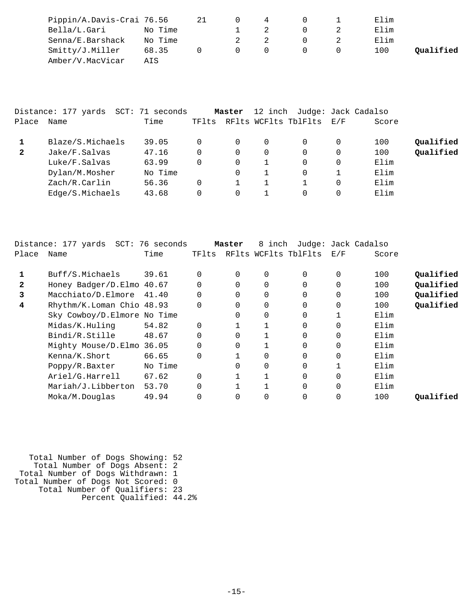| Pippin/A.Davis-Crai 76.56 |         |  |  | Elim |           |
|---------------------------|---------|--|--|------|-----------|
| Bella/L.Gari              | No Time |  |  | Elim |           |
| Senna/E.Barshack          | No Time |  |  | Elim |           |
| Smitty/J.Miller           | 68.35   |  |  | 100  | Oualified |
| Amber/V.MacVicar          | AIS     |  |  |      |           |

|              | Distance: 177 yards SCT: 71 seconds |         |          | Master   |   | 12 inch Judge: Jack Cadalso |          |       |           |
|--------------|-------------------------------------|---------|----------|----------|---|-----------------------------|----------|-------|-----------|
| Place        | Name                                | Time    | TFlts    |          |   | RFlts WCFlts TblFlts        | E/F      | Score |           |
|              | Blaze/S.Michaels                    | 39.05   | $\Omega$ | 0        | 0 |                             | $\Omega$ | 100   | Qualified |
| $\mathbf{2}$ | Jake/F.Salvas                       | 47.16   | 0        | $\Omega$ | 0 | 0                           | 0        | 100   | Qualified |
|              | Luke/F.Salvas                       | 63.99   | 0        | 0        |   | 0                           | $\Omega$ | Elim  |           |
|              | Dylan/M.Mosher                      | No Time |          | 0        |   |                             |          | Elim  |           |
|              | Zach/R.Carlin                       | 56.36   | 0        |          |   |                             | $\Omega$ | Elim  |           |
|              | Edge/S.Michaels                     | 43.68   | 0        | 0        |   |                             |          | Elim  |           |

|       | Distance: 177 yards SCT: 76 seconds |         |          | Master   | 8 inch   |                      | Judge: Jack Cadalso |       |           |
|-------|-------------------------------------|---------|----------|----------|----------|----------------------|---------------------|-------|-----------|
| Place | Name                                | Time    | TFlts    |          |          | RFlts WCFlts TblFlts | E/F                 | Score |           |
|       | Buff/S.Michaels                     | 39.61   | $\Omega$ | 0        | $\Omega$ | 0                    | 0                   | 100   | Qualified |
| 2     | Honey Badger/D.Elmo 40.67           |         |          |          | $\Omega$ | 0                    | 0                   | 100   | Qualified |
| 3     | Macchiato/D.Elmore 41.40            |         | $\Omega$ |          | $\Omega$ | 0                    | $\Omega$            | 100   | Qualified |
| 4     | Rhythm/K.Loman Chio 48.93           |         | $\Omega$ |          | $\Omega$ | 0                    | $\mathbf 0$         | 100   | Qualified |
|       | Sky Cowboy/D.Elmore No Time         |         |          |          | $\Omega$ | 0                    |                     | Elim  |           |
|       | Midas/K.Huling                      | 54.82   |          |          |          | 0                    | $\mathbf 0$         | Elim  |           |
|       | Bindi/R.Stille                      | 48.67   | $\Omega$ | $\Omega$ |          | 0                    | $\mathbf 0$         | Elim  |           |
|       | Mighty Mouse/D.Elmo 36.05           |         |          |          |          | $\Omega$             | $\Omega$            | Elim  |           |
|       | Kenna/K.Short                       | 66.65   | $\Omega$ |          | $\Omega$ | 0                    | $\mathbf 0$         | Elim  |           |
|       | Poppy/R.Baxter                      | No Time |          | $\Omega$ | $\Omega$ | 0                    |                     | Elim  |           |
|       | Ariel/G.Harrell                     | 67.62   | $\Omega$ |          |          | $\Omega$             | $\Omega$            | Elim  |           |
|       | Mariah/J.Libberton                  | 53.70   | $\Omega$ |          |          | 0                    | $\mathbf 0$         | Elim  |           |
|       | Moka/M.Douglas                      | 49.94   |          |          | 0        | 0                    | 0                   | 100   | Oualified |
|       |                                     |         |          |          |          |                      |                     |       |           |

 Total Number of Dogs Showing: 52 Total Number of Dogs Absent: 2 Total Number of Dogs Withdrawn: 1 Total Number of Dogs Not Scored: 0 Total Number of Qualifiers: 23 Percent Qualified: 44.2%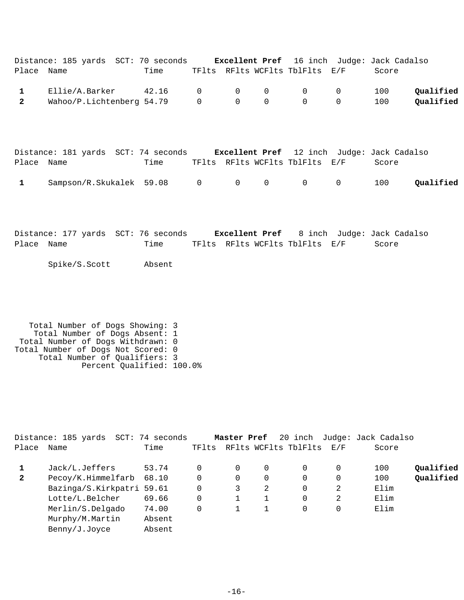|            | Distance: 185 yards SCT: 70 seconds                |      |  | Excellent Pref 16 inch Judge: Jack Cadalso |       |           |
|------------|----------------------------------------------------|------|--|--------------------------------------------|-------|-----------|
| Place Name |                                                    | Time |  | TFlts RFlts WCFlts TblFlts E/F             | Score |           |
|            | Ellie/A.Barker    42.16    0    0    0     0     0 |      |  |                                            | 100   | Oualified |
| 2          | Wahoo/P.Lichtenberg 54.79 0 0 0 0 0                |      |  |                                            | 100   | Oualified |

|            | Distance: 181 yards SCT: 74 seconds  |      |  |                                | <b>Excellent Pref</b> 12 inch Judge: Jack Cadalso |           |
|------------|--------------------------------------|------|--|--------------------------------|---------------------------------------------------|-----------|
| Place Name |                                      | Time |  | TFlts RFlts WCFlts TblFlts E/F | Score                                             |           |
|            | Sampson/R.Skukalek 59.08 0 0 0 0 0 0 |      |  |                                | 100                                               | Qualified |

|            | Distance: 177 yards SCT: 76 seconds |                                |  | <b>Excellent Pref</b> 8 inch Judge: Jack Cadalso |
|------------|-------------------------------------|--------------------------------|--|--------------------------------------------------|
| Place Name | Time                                | TFlts RFlts WCFlts TblFlts E/F |  | Score                                            |

Spike/S.Scott Absent

```
 Total Number of Dogs Showing: 3
 Total Number of Dogs Absent: 1
 Total Number of Dogs Withdrawn: 0
Total Number of Dogs Not Scored: 0
 Total Number of Qualifiers: 3
 Percent Qualified: 100.0%
```

|              | Distance: 185 yards       | SCT: 74 seconds |       | Master Pref |   | 20 inch              |                   | Judge: Jack Cadalso |           |
|--------------|---------------------------|-----------------|-------|-------------|---|----------------------|-------------------|---------------------|-----------|
| Place        | Name                      | Time            | TFlts |             |   | RFlts WCFlts TblFlts | $\rm E$ / $\rm F$ | Score               |           |
|              | Jack/L.Jeffers            | 53.74           |       | 0           | 0 | 0                    |                   | 100                 | Qualified |
| $\mathbf{2}$ | Pecoy/K.Himmelfarb        | 68.10           | 0     | 0           | 0 | 0                    | 0                 | 100                 | Qualified |
|              | Bazinga/S.Kirkpatri 59.61 |                 | 0     | 3           | 2 | 0                    | 2                 | Elim                |           |
|              | Lotte/L.Belcher           | 69.66           | 0     |             |   | $\Omega$             | 2                 | Elim                |           |
|              | Merlin/S.Delgado          | 74.00           |       |             |   | $\Omega$             | 0                 | Elim                |           |
|              | Murphy/M.Martin           | Absent          |       |             |   |                      |                   |                     |           |
|              | Benny/J.Joyce             | Absent          |       |             |   |                      |                   |                     |           |
|              |                           |                 |       |             |   |                      |                   |                     |           |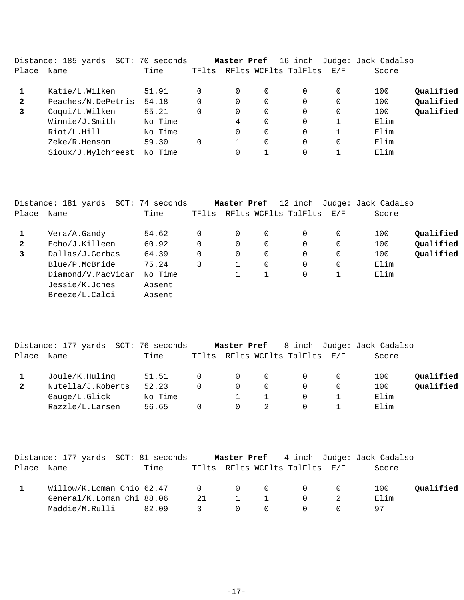|              | Distance: 185 yards SCT: 70 seconds |         |       | Master Pref |          | 16 inch              |          | Judge: Jack Cadalso |           |
|--------------|-------------------------------------|---------|-------|-------------|----------|----------------------|----------|---------------------|-----------|
| Place        | Name                                | Time    | TFlts |             |          | RFlts WCFlts TblFlts | E/F      | Score               |           |
|              | Katie/L.Wilken                      | 51.91   |       | $\Omega$    | 0        | 0                    | $\Omega$ | 100                 | Qualified |
| $\mathbf{2}$ | Peaches/N.DePetris                  | 54.18   |       | $\Omega$    | $\Omega$ | 0                    | $\Omega$ | 100                 | Qualified |
| 3            | Coqui/L.Wilken                      | 55.21   |       | 0           | 0        | $\Omega$             | 0        | 100                 | Qualified |
|              | Winnie/J.Smith                      | No Time |       | 4           | $\Omega$ | 0                    |          | Elim                |           |
|              | Riot/L.Hill                         | No Time |       | 0           | $\Omega$ | 0                    |          | Elim                |           |
|              | Zeke/R.Henson                       | 59.30   |       |             | $\Omega$ | 0                    | $\Omega$ | Elim                |           |
|              | Sioux/J.Mylchreest                  | No Time |       |             |          | 0                    |          | Elim                |           |
|              |                                     |         |       |             |          |                      |          |                     |           |

|              | Distance: 181 yards<br>SCT: | 74 seconds |          | Master Pref |          | 12 inch              |          | Judge: Jack Cadalso |           |
|--------------|-----------------------------|------------|----------|-------------|----------|----------------------|----------|---------------------|-----------|
| Place        | Name                        | Time       | TFlts    |             |          | RFlts WCFlts TblFlts | E/F      | Score               |           |
|              | Vera/A.Gandy                | 54.62      | $\Omega$ | $\Omega$    | $\Omega$ | $\Omega$             |          | 100                 | Qualified |
| $\mathbf{2}$ | Echo/J.Killeen              | 60.92      | 0        | 0           | $\Omega$ | $\Omega$             | 0        | 100                 | Oualified |
| 3            | Dallas/J.Gorbas             | 64.39      | $\Omega$ | 0           | $\Omega$ | $\Omega$             | 0        | 100                 | Qualified |
|              | Blue/P.McBride              | 75.24      | 3        |             | $\Omega$ | $\Omega$             | $\Omega$ | Elim                |           |
|              | Diamond/V.MacVicar          | No Time    |          |             |          | $\Omega$             |          | Elim                |           |
|              | Jessie/K.Jones              | Absent     |          |             |          |                      |          |                     |           |
|              | Breeze/L.Calci              | Absent     |          |             |          |                      |          |                     |           |

|              | Distance: 177 yards SCT: 76 seconds |         |          | Master Pref |          |                          | 8 inch Judge: Jack Cadalso |           |
|--------------|-------------------------------------|---------|----------|-------------|----------|--------------------------|----------------------------|-----------|
| Place        | Name                                | Time    | TFlts    |             |          | RFlts WCFlts TblFlts E/F | Score                      |           |
|              | Joule/K.Huling                      | 51.51   | $\Omega$ | $\Omega$    | $\Omega$ |                          | 100                        | Qualified |
| $\mathbf{2}$ | Nutella/J.Roberts                   | 52.23   | 0        | $\Omega$    |          |                          | 100                        | Qualified |
|              | Gauge/L.Glick                       | No Time |          |             |          |                          | Elim                       |           |
|              | Razzle/L.Larsen                     | 56.65   |          | $\Omega$    |          |                          | Elim                       |           |

|            | Distance: 177 yards SCT: 81 seconds |       |               |                       |                |                                                                                                                                                                                                                               | Master Pref 4 inch Judge: Jack Cadalso |           |
|------------|-------------------------------------|-------|---------------|-----------------------|----------------|-------------------------------------------------------------------------------------------------------------------------------------------------------------------------------------------------------------------------------|----------------------------------------|-----------|
| Place Name |                                     | Time  |               |                       |                | TFlts RFlts WCFlts TblFlts E/F                                                                                                                                                                                                | Score                                  |           |
|            |                                     |       |               |                       |                |                                                                                                                                                                                                                               |                                        |           |
|            | Willow/K.Loman Chio 62.47           |       |               |                       |                | $\begin{matrix}0\end{matrix}$ , $\begin{matrix}0\end{matrix}$ , $\begin{matrix}0\end{matrix}$ , $\begin{matrix}0\end{matrix}$ , $\begin{matrix}0\end{matrix}$ , $\begin{matrix}0\end{matrix}$ , $\begin{matrix}0\end{matrix}$ | 100                                    | Oualified |
|            | General/K.Loman Chi 88.06           |       | 21            | $\sim$ $\sim$         | $\overline{1}$ | $\Omega$                                                                                                                                                                                                                      | Elim                                   |           |
|            | Maddie/M.Rulli                      | 82.09 | $\mathcal{R}$ | $\Omega$ and $\Omega$ | $\overline{0}$ | - 0                                                                                                                                                                                                                           |                                        |           |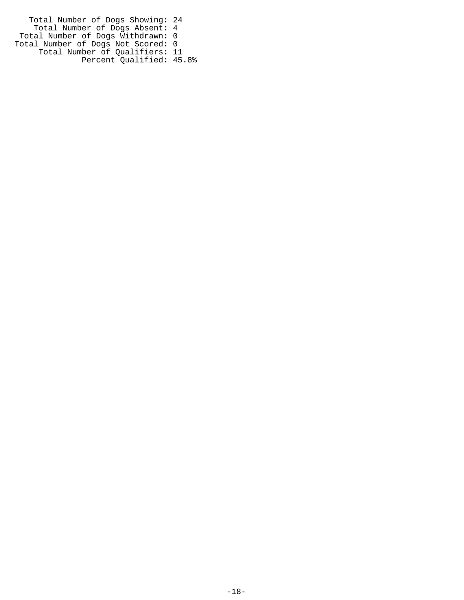Total Number of Dogs Showing: 24 Total Number of Dogs Absent: 4 Total Number of Dogs Withdrawn: 0 Total Number of Dogs Not Scored: 0 Total Number of Qualifiers: 11 Percent Qualified: 45.8%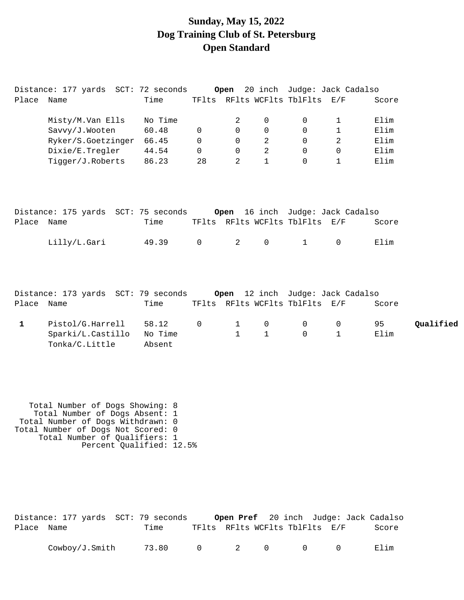## **Sunday, May 15, 2022 Dog Training Club of St. Petersburg Open Standard**

|              | Distance: 177 yards SCT: 72 seconds |         |             |              |                |                                | <b>Open</b> 20 inch Judge: Jack Cadalso |                 |  |
|--------------|-------------------------------------|---------|-------------|--------------|----------------|--------------------------------|-----------------------------------------|-----------------|--|
| Place Name   |                                     | Time    |             |              |                | TFlts RFlts WCFlts TblFlts     | E/F                                     | Score           |  |
|              | Misty/M.Van Ells                    | No Time |             | 2            | $\mathbf 0$    | $\mathbf 0$                    | 1                                       | Elim            |  |
|              | Savvy/J.Wooten                      | 60.48   | $\Omega$    | $\Omega$     | $\Omega$       | $\Omega$                       | $\mathbf{1}$                            | Elim            |  |
|              |                                     |         |             |              |                |                                |                                         |                 |  |
|              | Ryker/S.Goetzinger                  | 66.45   | $\Omega$    | $\Omega$     | $\overline{2}$ | $\Omega$                       | 2                                       | Elim            |  |
|              | Dixie/E.Tregler                     | 44.54   | $\Omega$    | 0            | $\overline{a}$ | $\Omega$                       | $\mathbf 0$                             | Elim            |  |
|              | Tigger/J.Roberts                    | 86.23   | 28          | 2            | $\mathbf 1$    | $\Omega$                       | $\mathbf{1}$                            | Elim            |  |
|              | Distance: 175 yards SCT: 75 seconds |         |             |              |                |                                | Open 16 inch Judge: Jack Cadalso        |                 |  |
| Place Name   |                                     | Time    |             |              |                | TFlts RFlts WCFlts TblFlts E/F |                                         | Score           |  |
|              |                                     |         |             |              |                |                                |                                         |                 |  |
|              | Lilly/L.Gari                        | 49.39   | $\mathbf 0$ | 2            | $\mathbf 0$    | $\mathbf{1}$                   | $\Omega$                                | Elim            |  |
|              |                                     |         |             |              |                |                                |                                         |                 |  |
|              | Distance: 173 yards SCT: 79 seconds |         |             |              |                |                                | Open 12 inch Judge: Jack Cadalso        |                 |  |
| Place        | Name                                | Time    |             |              |                | TFlts RFlts WCFlts TblFlts     | E/F                                     | Score           |  |
| $\mathbf{1}$ | Pistol/G.Harrell                    | 58.12   | $\mathbf 0$ | $\mathbf{1}$ | $\mathbf 0$    | $\overline{0}$                 | 0                                       | 95<br>Oualified |  |
|              | Sparki/L.Castillo                   | No Time |             | $\mathbf{1}$ | $\mathbf 1$    | $\Omega$                       | $\mathbf{1}$                            | Elim            |  |
|              | Tonka/C.Little                      | Absent  |             |              |                |                                |                                         |                 |  |

 Total Number of Dogs Showing: 8 Total Number of Dogs Absent: 1 Total Number of Dogs Withdrawn: 0 Total Number of Dogs Not Scored: 0 Total Number of Qualifiers: 1 Percent Qualified: 12.5%

|            |                | Distance: 177 yards SCT: 79 seconds |                                |     |     | Open Pref 20 inch Judge: Jack Cadalso |
|------------|----------------|-------------------------------------|--------------------------------|-----|-----|---------------------------------------|
| Place Name |                | Time                                | TFlts RFlts WCFlts TblFlts E/F |     |     | Score                                 |
|            | Cowboy/J.Smith | 73.80 0                             |                                | 2 0 | - 0 | Elim                                  |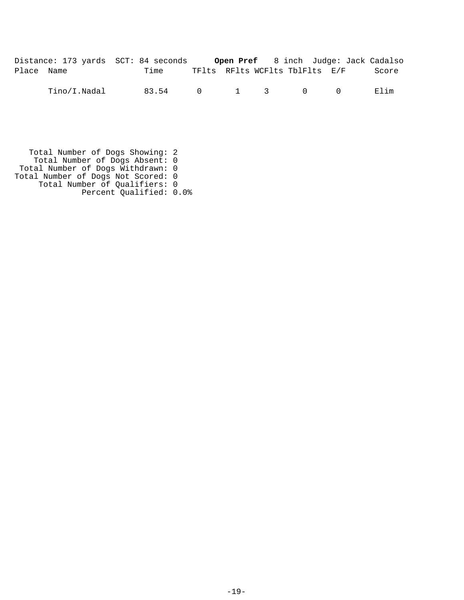|            | Distance: 173 yards SCT: 84 seconds |       |  |  |                                         | Open Pref 8 inch Judge: Jack Cadalso |
|------------|-------------------------------------|-------|--|--|-----------------------------------------|--------------------------------------|
| Place Name |                                     | Time  |  |  | TFlts RFlts WCFlts TblFlts E/F          | Score                                |
|            | Tino/I.Nadal                        | 83.54 |  |  | $0 \qquad 1 \qquad 3 \qquad 0 \qquad 0$ | F. lim                               |

 Total Number of Dogs Showing: 2 Total Number of Dogs Absent: 0 Total Number of Dogs Withdrawn: 0 Total Number of Dogs Not Scored: 0 Total Number of Qualifiers: 0 Percent Qualified: 0.0%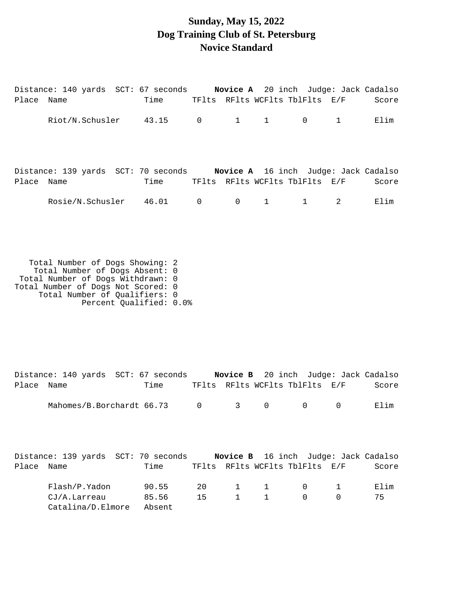### **Sunday, May 15, 2022 Dog Training Club of St. Petersburg Novice Standard**

|            |  | Distance: 140 yards SCT: 67 seconds Novice A 20 inch Judge: Jack Cadalso |                                                      |       |       |
|------------|--|--------------------------------------------------------------------------|------------------------------------------------------|-------|-------|
| Place Name |  | Time                                                                     | TFlts RFlts WCFlts TblFlts E/F                       |       | Score |
|            |  | $\text{Riot/N.Schusler}$ 43.15 0 1 1                                     |                                                      | $0$ 1 | Elim  |
|            |  | Distance: 139 yards SCT: 70 seconds Novice A 16 inch Judge: Jack Cadalso |                                                      |       |       |
| Place Name |  | Time TFlts RFlts WCFlts TblFlts E/F                                      |                                                      |       | Score |
|            |  | Rosie/N.Schusler 46.01 0                                                 | $\begin{array}{ccccccc}\n0 & 1 & 1 & 2\n\end{array}$ |       | Elim  |

 Total Number of Dogs Showing: 2 Total Number of Dogs Absent: 0 Total Number of Dogs Withdrawn: 0 Total Number of Dogs Not Scored: 0 Total Number of Qualifiers: 0 Percent Qualified: 0.0%

|            | Distance: 140 yards SCT: 67 seconds Novice B 20 inch Judge: Jack Cadalso |        |    |             |                                |              |       |
|------------|--------------------------------------------------------------------------|--------|----|-------------|--------------------------------|--------------|-------|
| Place Name |                                                                          | Time   |    |             | TFlts RFlts WCFlts TblFlts E/F |              | Score |
|            | Mahomes/B.Borchardt 66.73 0                                              |        |    | $3 \t 0$    | $\Omega$                       | $\Omega$     | Elim  |
| Place Name | Distance: 139 yards SCT: 70 seconds Novice B 16 inch Judge: Jack Cadalso | Time   |    |             | TFlts RFlts WCFlts TblFlts E/F |              | Score |
|            | Flash/P.Yadon                                                            | 90.55  | 20 | $1 \t 1$    | $\Omega$                       | $\mathbf{1}$ | Elim  |
|            |                                                                          |        |    | $1 \quad 1$ | $\Omega$                       |              | 75    |
|            | $CJ/A.Larreau$ 85.56                                                     |        | 15 |             |                                |              |       |
|            | Catalina/D.Elmore                                                        | Absent |    |             |                                |              |       |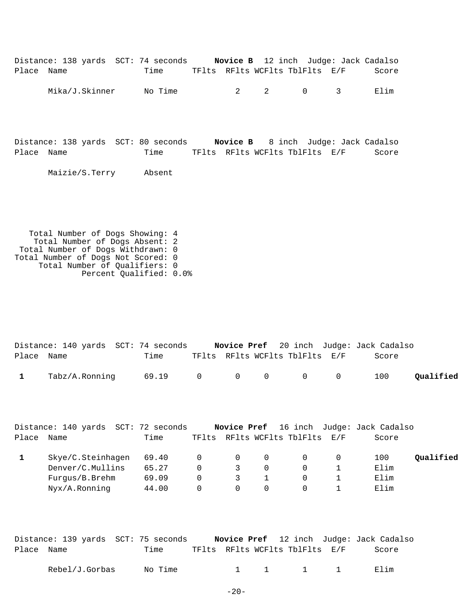|            | Distance: 138 yards SCT: 74 seconds Novice B 12 inch Judge: Jack Cadalso |      |  |                                |       |
|------------|--------------------------------------------------------------------------|------|--|--------------------------------|-------|
| Place Name |                                                                          | Time |  | TFlts RFlts WCFlts TblFlts E/F | Score |
|            | Mika/J.Skinner No Time                                                   |      |  | 2 2 0 3                        | Elim  |

Distance: 138 yards SCT: 80 seconds **Novice B** 8 inch Judge: Jack Cadalso Place Name  $Time$  TFlts RFlts WCFlts TblFlts E/F Score

Maizie/S.Terry Absent

 Total Number of Dogs Showing: 4 Total Number of Dogs Absent: 2 Total Number of Dogs Withdrawn: 0 Total Number of Dogs Not Scored: 0 Total Number of Qualifiers: 0 Percent Qualified: 0.0%

|              | Distance: 140 yards SCT: 74 seconds |      |  |                                | <b>Novice Pref</b> 20 inch Judge: Jack Cadalso |           |
|--------------|-------------------------------------|------|--|--------------------------------|------------------------------------------------|-----------|
| Place Name   |                                     | Time |  | TFlts RFlts WCFlts TblFlts E/F | Score                                          |           |
| $\mathbf{1}$ | $Tabz/A.Ronning$ 69.19 0 0 0 0 0    |      |  |                                | 100                                            | Qualified |

|       | Distance: 140 yards SCT: 72 seconds |       |                |                |          |                          | Novice Pref 16 inch Judge: Jack Cadalso |           |
|-------|-------------------------------------|-------|----------------|----------------|----------|--------------------------|-----------------------------------------|-----------|
| Place | Name                                | Time  | TFlts          |                |          | RFlts WCFlts TblFlts E/F | Score                                   |           |
|       | Skye/C.Steinhagen                   | 69.40 | $\overline{0}$ | $\overline{0}$ | $\Omega$ | $\Omega$                 | 100                                     | Oualified |
|       | Denver/C.Mullins                    | 65.27 |                | $\mathcal{E}$  | 0        | $\Omega$                 | Elim                                    |           |
|       | Furgus/B.Brehm                      | 69.09 |                |                |          | $\Omega$                 | Elim                                    |           |
|       | $Nyx/A$ . Ronning                   | 44.00 |                | $\Omega$       | 0        | $\Omega$                 | Elim                                    |           |
|       |                                     |       |                |                |          |                          |                                         |           |

|            | Distance: 139 yards SCT: 75 seconds |         |  |                                | <b>Novice Pref</b> 12 inch Judge: Jack Cadalso |  |
|------------|-------------------------------------|---------|--|--------------------------------|------------------------------------------------|--|
| Place Name |                                     | Time    |  | TFlts RFlts WCFlts TblFlts E/F | Score                                          |  |
|            | Rebel/J.Gorbas                      | No Time |  | $1 \quad 1 \quad 1 \quad 1$    | Flim                                           |  |